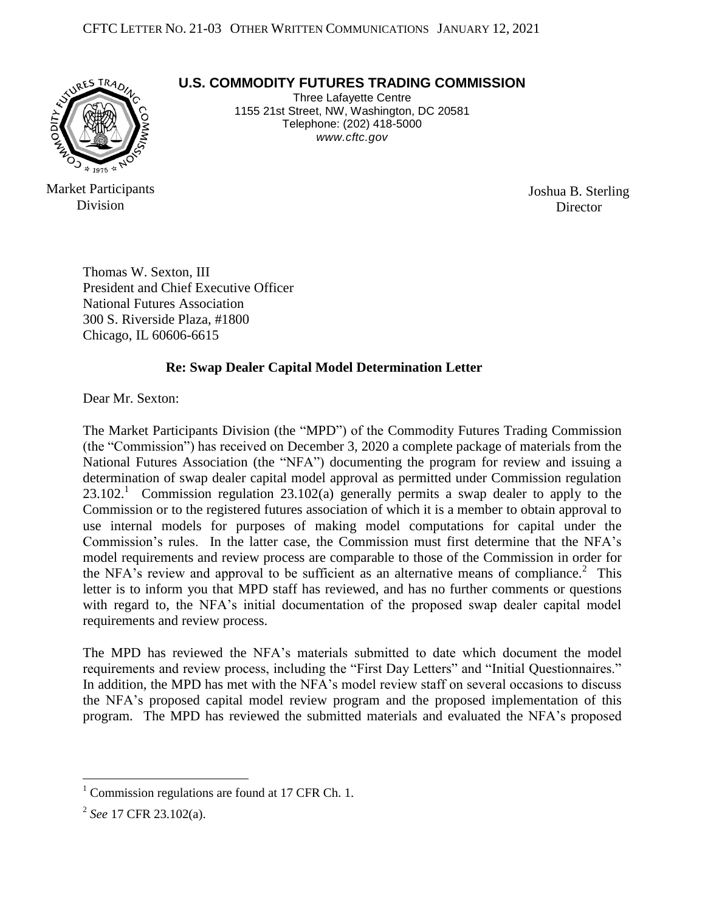

Market Participants

Division

**U.S. COMMODITY FUTURES TRADING COMMISSION**

Three Lafayette Centre 1155 21st Street, NW, Washington, DC 20581 Telephone: (202) 418-5000 *www.cftc.gov*

> Joshua B. Sterling **Director**

Thomas W. Sexton, III President and Chief Executive Officer National Futures Association 300 S. Riverside Plaza, #1800 Chicago, IL 60606-6615

## **Re: Swap Dealer Capital Model Determination Letter**

Dear Mr. Sexton:

The Market Participants Division (the "MPD") of the Commodity Futures Trading Commission (the "Commission") has received on December 3, 2020 a complete package of materials from the National Futures Association (the "NFA") documenting the program for review and issuing a determination of swap dealer capital model approval as permitted under Commission regulation 23.102.<sup>1</sup> Commission regulation 23.102(a) generally permits a swap dealer to apply to the Commission or to the registered futures association of which it is a member to obtain approval to use internal models for purposes of making model computations for capital under the Commission's rules. In the latter case, the Commission must first determine that the NFA's model requirements and review process are comparable to those of the Commission in order for the NFA's review and approval to be sufficient as an alternative means of compliance.<sup>2</sup> This letter is to inform you that MPD staff has reviewed, and has no further comments or questions with regard to, the NFA's initial documentation of the proposed swap dealer capital model requirements and review process.

The MPD has reviewed the NFA's materials submitted to date which document the model requirements and review process, including the "First Day Letters" and "Initial Questionnaires." In addition, the MPD has met with the NFA's model review staff on several occasions to discuss the NFA's proposed capital model review program and the proposed implementation of this program. The MPD has reviewed the submitted materials and evaluated the NFA's proposed

 $1$  Commission regulations are found at 17 CFR Ch. 1.

<sup>2</sup> *See* 17 CFR 23.102(a).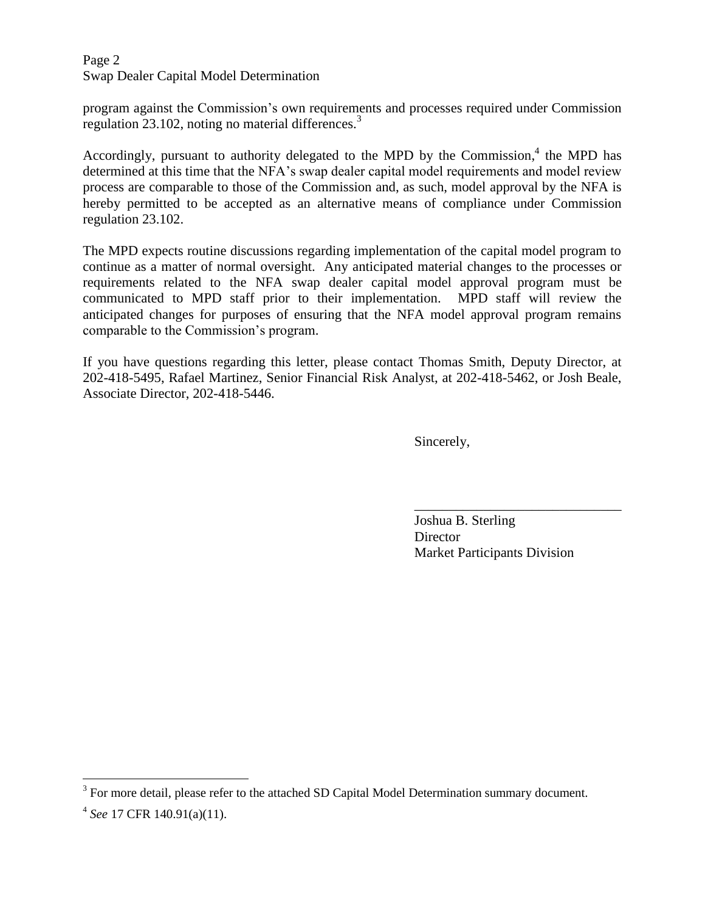Page 2 Swap Dealer Capital Model Determination

program against the Commission's own requirements and processes required under Commission regulation 23.102, noting no material differences.<sup>3</sup>

Accordingly, pursuant to authority delegated to the MPD by the Commission, $4$  the MPD has determined at this time that the NFA's swap dealer capital model requirements and model review process are comparable to those of the Commission and, as such, model approval by the NFA is hereby permitted to be accepted as an alternative means of compliance under Commission regulation 23.102.

The MPD expects routine discussions regarding implementation of the capital model program to continue as a matter of normal oversight. Any anticipated material changes to the processes or requirements related to the NFA swap dealer capital model approval program must be communicated to MPD staff prior to their implementation. MPD staff will review the anticipated changes for purposes of ensuring that the NFA model approval program remains comparable to the Commission's program.

If you have questions regarding this letter, please contact Thomas Smith, Deputy Director, at 202-418-5495, Rafael Martinez, Senior Financial Risk Analyst, at 202-418-5462, or Josh Beale, Associate Director, 202-418-5446.

 $\overline{\phantom{a}}$  , which is a set of the contract of the contract of the contract of the contract of the contract of the contract of the contract of the contract of the contract of the contract of the contract of the contract

Sincerely,

Joshua B. Sterling **Director** Market Participants Division

 $3$  For more detail, please refer to the attached SD Capital Model Determination summary document.

<sup>4</sup> *See* 17 CFR 140.91(a)(11).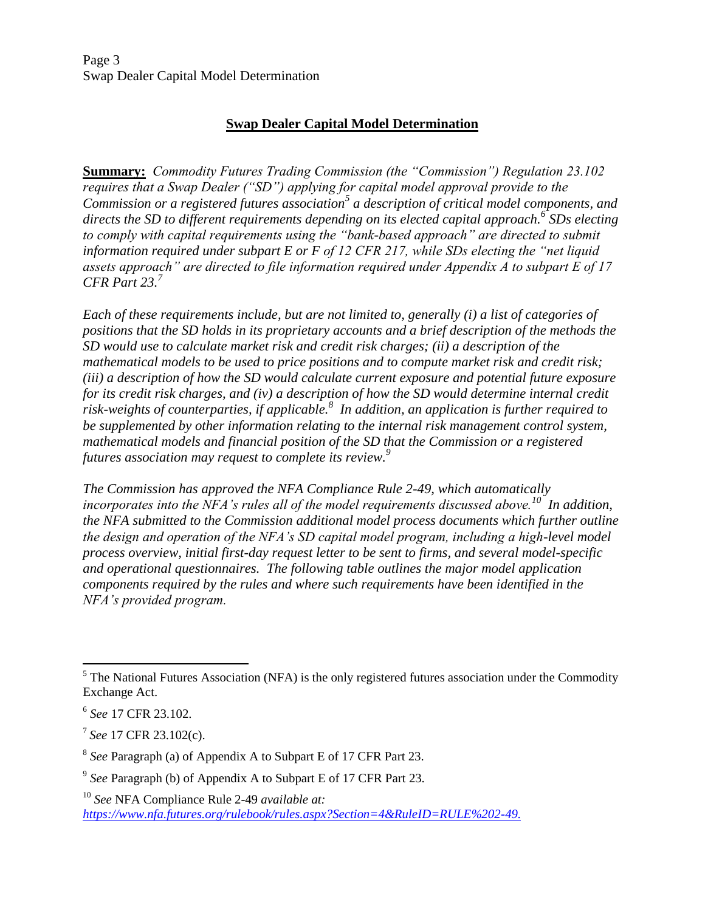Page 3 Swap Dealer Capital Model Determination

## **Swap Dealer Capital Model Determination**

**Summary:** *Commodity Futures Trading Commission (the "Commission") Regulation 23.102 requires that a Swap Dealer ("SD") applying for capital model approval provide to the Commission or a registered futures association<sup>5</sup> a description of critical model components, and directs the SD to different requirements depending on its elected capital approach.<sup>6</sup> SDs electing to comply with capital requirements using the "bank-based approach" are directed to submit information required under subpart E or F of 12 CFR 217, while SDs electing the "net liquid assets approach" are directed to file information required under Appendix A to subpart E of 17 CFR Part 23.<sup>7</sup>* 

*Each of these requirements include, but are not limited to, generally (i) a list of categories of positions that the SD holds in its proprietary accounts and a brief description of the methods the SD would use to calculate market risk and credit risk charges; (ii) a description of the mathematical models to be used to price positions and to compute market risk and credit risk; (iii) a description of how the SD would calculate current exposure and potential future exposure for its credit risk charges, and (iv) a description of how the SD would determine internal credit risk-weights of counterparties, if applicable.<sup>8</sup> In addition, an application is further required to be supplemented by other information relating to the internal risk management control system, mathematical models and financial position of the SD that the Commission or a registered futures association may request to complete its review.<sup>9</sup>*

*The Commission has approved the NFA Compliance Rule 2-49, which automatically incorporates into the NFA's rules all of the model requirements discussed above.<sup>10</sup> In addition, the NFA submitted to the Commission additional model process documents which further outline the design and operation of the NFA's SD capital model program, including a high-level model process overview, initial first-day request letter to be sent to firms, and several model-specific and operational questionnaires. The following table outlines the major model application components required by the rules and where such requirements have been identified in the NFA's provided program.* 

<sup>&</sup>lt;sup>5</sup> The National Futures Association (NFA) is the only registered futures association under the Commodity Exchange Act.

<sup>6</sup> *See* 17 CFR 23.102.

<sup>7</sup> *See* 17 CFR 23.102(c).

<sup>8</sup> *See* Paragraph (a) of Appendix A to Subpart E of 17 CFR Part 23.

<sup>9</sup> *See* Paragraph (b) of Appendix A to Subpart E of 17 CFR Part 23.

<sup>10</sup> *See* NFA Compliance Rule 2-49 *available at: [https://www.nfa.futures.org/rulebook/rules.aspx?Section=4&RuleID=RULE%202-49.](https://www.nfa.futures.org/rulebook/rules.aspx?Section=4&RuleID=RULE%202-49)*